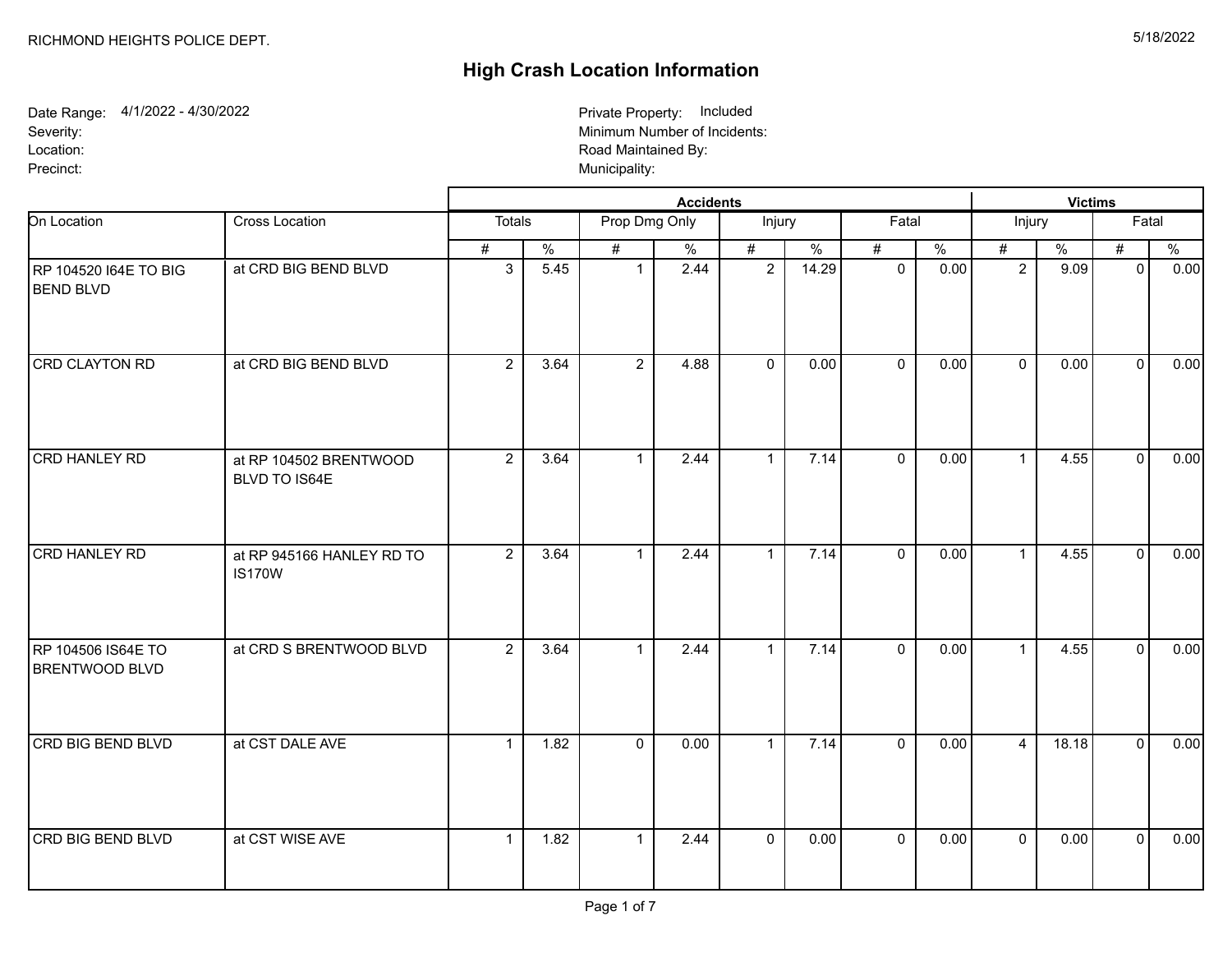## **High Crash Location Information**

Date Range: 4/1/2022 - 4/30/2022 Severity: Location: Precinct: Municipality: 2009 Municipality: 2009 Municipality: 2009 Municipality: 2009 Municipality: 2009 Municipality: 2009 Municipality: 2009 Municipality: 2009 Municipality: 2009 Municipality: 2009 Municipality: 2009 Mun

Minimum Number of Incidents: Road Maintained By: Private Property: Included

|                                             |                                            |                |               |                | <b>Victims</b> |                |       |              |                          |                |       |              |      |
|---------------------------------------------|--------------------------------------------|----------------|---------------|----------------|----------------|----------------|-------|--------------|--------------------------|----------------|-------|--------------|------|
| On Location                                 | Cross Location                             | Totals         |               | Prop Dmg Only  |                | Injury         |       | Fatal        |                          | Injury         |       | Fatal        |      |
|                                             |                                            | #              | $\frac{0}{6}$ | #              | $\%$           | #              | $\%$  | #            | $\overline{\frac{0}{0}}$ | #              | $\%$  | $\#$         | %    |
| RP 104520 164E TO BIG<br><b>BEND BLVD</b>   | at CRD BIG BEND BLVD                       | $\mathbf{3}$   | 5.45          | $\mathbf{1}$   | 2.44           | $\overline{2}$ | 14.29 | $\mathbf 0$  | 0.00                     | $\overline{2}$ | 9.09  | $\mathbf{0}$ | 0.00 |
| CRD CLAYTON RD                              | at CRD BIG BEND BLVD                       | $\overline{2}$ | 3.64          | $2^{\circ}$    | 4.88           | $\mathbf 0$    | 0.00  | $\mathbf{0}$ | 0.00                     | $\Omega$       | 0.00  | $\Omega$     | 0.00 |
| CRD HANLEY RD                               | at RP 104502 BRENTWOOD<br>BLVD TO IS64E    | $\overline{2}$ | 3.64          | $\mathbf{1}$   | 2.44           | $\mathbf{1}$   | 7.14  | $\mathbf 0$  | 0.00                     | $\mathbf{1}$   | 4.55  | $\mathbf{0}$ | 0.00 |
| CRD HANLEY RD                               | at RP 945166 HANLEY RD TO<br><b>IS170W</b> | $\overline{2}$ | 3.64          | $\mathbf{1}$   | 2.44           | $\mathbf{1}$   | 7.14  | $\mathbf{0}$ | 0.00                     | $\mathbf{1}$   | 4.55  | $\mathbf{0}$ | 0.00 |
| RP 104506 IS64E TO<br><b>BRENTWOOD BLVD</b> | at CRD S BRENTWOOD BLVD                    | $2^{\circ}$    | 3.64          | $\mathbf{1}$   | 2.44           | $\mathbf{1}$   | 7.14  | $\mathbf 0$  | 0.00                     | $\mathbf{1}$   | 4.55  | $\Omega$     | 0.00 |
| CRD BIG BEND BLVD                           | at CST DALE AVE                            | $\mathbf{1}$   | 1.82          | $\overline{0}$ | 0.00           | $\mathbf{1}$   | 7.14  | $\mathbf 0$  | 0.00                     | $\overline{4}$ | 18.18 | $\Omega$     | 0.00 |
| <b>CRD BIG BEND BLVD</b>                    | at CST WISE AVE                            | $\mathbf{1}$   | 1.82          |                | 2.44           | $\mathbf 0$    | 0.00  | $\mathbf{0}$ | 0.00                     | $\mathbf{0}$   | 0.00  | $\Omega$     | 0.00 |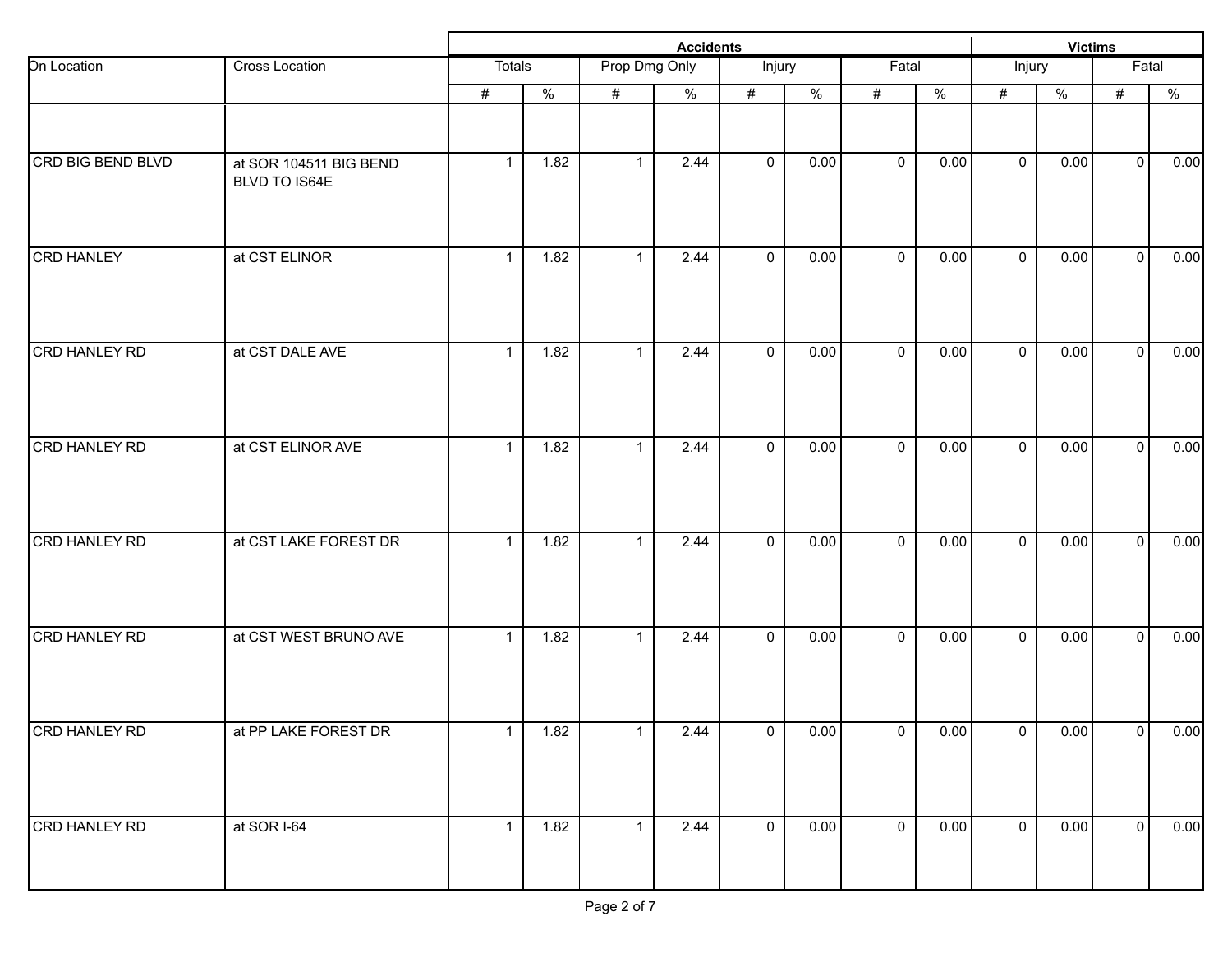|                      |                                         |                |                | <b>Victims</b> |                          |                |               |                     |               |              |               |                |               |
|----------------------|-----------------------------------------|----------------|----------------|----------------|--------------------------|----------------|---------------|---------------------|---------------|--------------|---------------|----------------|---------------|
| On Location          | Cross Location                          | <b>Totals</b>  |                | Prop Dmg Only  |                          | Injury         |               | Fatal               |               | Injury       |               | Fatal          |               |
|                      |                                         | #              | $\frac{0}{2}$  | $\#$           | $\overline{\frac{9}{6}}$ | #              | $\frac{9}{6}$ | #                   | $\frac{0}{6}$ | #            | $\frac{9}{6}$ | $\#$           | $\frac{0}{2}$ |
|                      |                                         |                |                |                |                          |                |               |                     |               |              |               |                |               |
| CRD BIG BEND BLVD    | at SOR 104511 BIG BEND<br>BLVD TO IS64E | $\mathbf{1}$   | 1.82           | $\mathbf{1}$   | 2.44                     | $\mathbf 0$    | 0.00          | $\mathbf 0$         | 0.00          | $\mathbf 0$  | 0.00          | $\overline{0}$ | 0.00          |
| <b>CRD HANLEY</b>    | at CST ELINOR                           | $\mathbf{1}$   | 1.82           | $\mathbf{1}$   | 2.44                     | $\mathbf 0$    | 0.00          | $\mathbf 0$         | 0.00          | $\mathbf{0}$ | 0.00          | $\overline{0}$ | 0.00          |
| CRD HANLEY RD        | at CST DALE AVE                         | $\mathbf{1}$   | 1.82           | $\mathbf 1$    | 2.44                     | $\mathbf{0}$   | 0.00          | $\mathbf 0$         | 0.00          | $\mathbf{0}$ | 0.00          | $\mathbf{0}$   | 0.00          |
| CRD HANLEY RD        | at CST ELINOR AVE                       | $\mathbf{1}$   | 1.82           | $\mathbf 1$    | 2.44                     | $\mathbf 0$    | 0.00          | $\mathbf 0$         | 0.00          | $\mathbf 0$  | 0.00          | $\mathbf{0}$   | 0.00          |
| <b>CRD HANLEY RD</b> | at CST LAKE FOREST DR                   | $\mathbf{1}$   | 1.82           | $\mathbf{1}$   | 2.44                     | $\mathbf 0$    | 0.00          | $\mathbf 0$         | 0.00          | $\mathbf 0$  | 0.00          | $\mathbf 0$    | 0.00          |
| CRD HANLEY RD        | at CST WEST BRUNO AVE                   | $\mathbf{1}$   | 1.82           | $\mathbf{1}$   | 2.44                     | $\mathbf 0$    | 0.00          | $\mathbf 0$         | 0.00          | $\mathbf 0$  | 0.00          | $\mathbf 0$    | 0.00          |
| CRD HANLEY RD        | at PP LAKE FOREST DR                    | 1              | $\boxed{1.82}$ | $\mathbf 1$    | 2.44                     | $\mathsf{O}^-$ | 0.00          | $\mathsf{O}\xspace$ | 0.00          | $\mathbf 0$  | 0.00          | 0              | 0.00          |
| <b>CRD HANLEY RD</b> | at SOR I-64                             | $\overline{1}$ | 1.82           | $\mathbf{1}$   | 2.44                     | $\overline{0}$ | 0.00          | $\overline{0}$      | 0.00          | $\mathbf 0$  | 0.00          | 0              | 0.00          |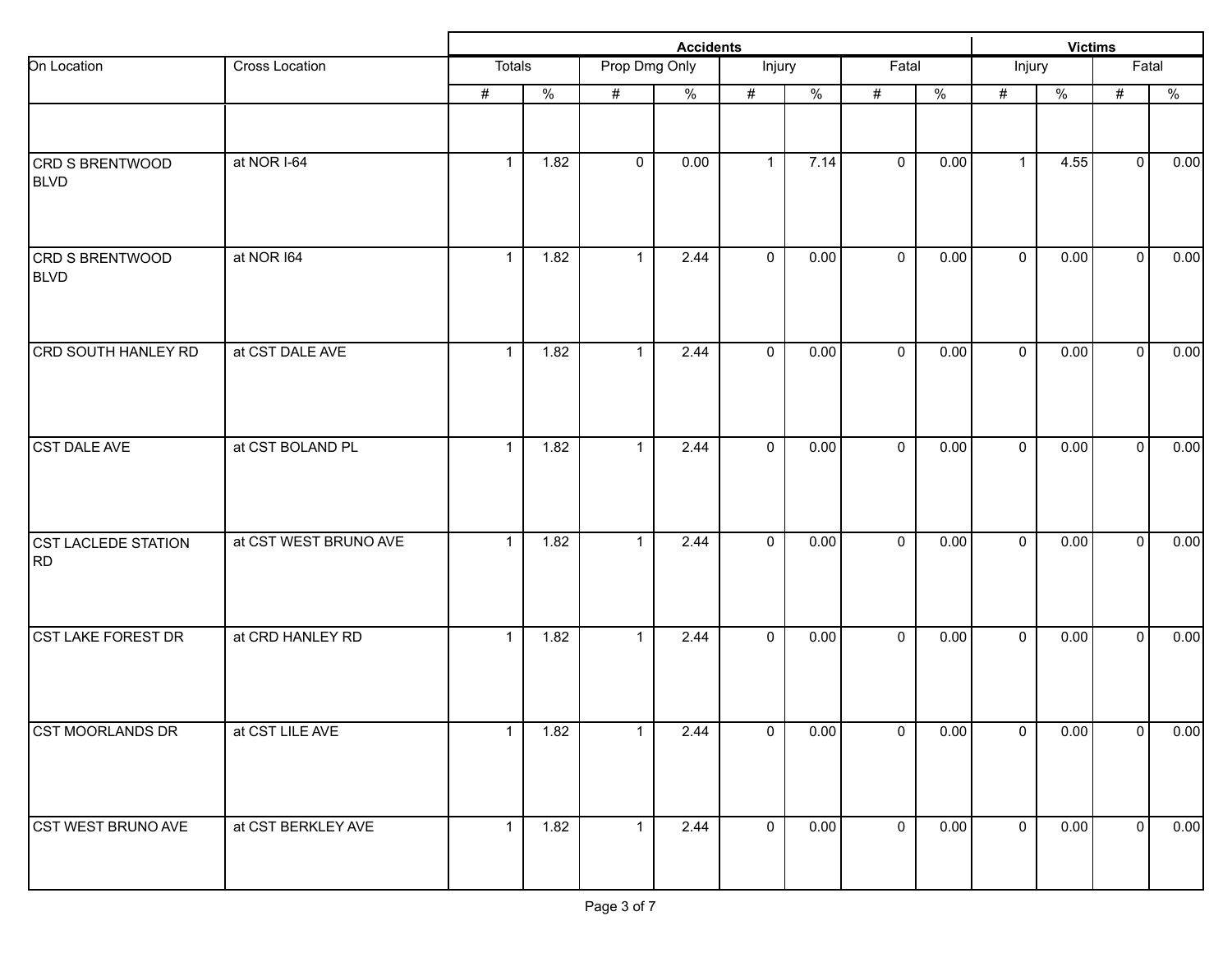|                                       |                       |              | <b>Victims</b>           |               |      |                |      |              |               |                     |      |                |               |
|---------------------------------------|-----------------------|--------------|--------------------------|---------------|------|----------------|------|--------------|---------------|---------------------|------|----------------|---------------|
| On Location                           | Cross Location        | Totals       |                          | Prop Dmg Only |      | Injury         |      | Fatal        |               | Injury              |      | Fatal          |               |
|                                       |                       | #            | $\overline{\frac{9}{6}}$ | #             | $\%$ | $\#$           | $\%$ | $\#$         | $\frac{0}{6}$ | $\#$                | $\%$ | $\#$           | $\frac{0}{6}$ |
| <b>CRD S BRENTWOOD</b><br><b>BLVD</b> | at NOR I-64           | $\mathbf{1}$ | 1.82                     | $\mathbf 0$   | 0.00 | $\mathbf{1}$   | 7.14 | $\mathbf 0$  | 0.00          | $\mathbf{1}$        | 4.55 | $\overline{0}$ | 0.00          |
| <b>CRD S BRENTWOOD</b><br><b>BLVD</b> | at NOR 164            | $\mathbf{1}$ | 1.82                     | $\mathbf{1}$  | 2.44 | $\mathbf 0$    | 0.00 | $\mathbf 0$  | 0.00          | $\mathbf 0$         | 0.00 | $\mathbf 0$    | 0.00          |
| <b>CRD SOUTH HANLEY RD</b>            | at CST DALE AVE       | $\mathbf{1}$ | 1.82                     | $\mathbf{1}$  | 2.44 | $\overline{0}$ | 0.00 | $\mathbf 0$  | 0.00          | $\mathbf{0}$        | 0.00 | $\overline{0}$ | 0.00          |
| CST DALE AVE                          | at CST BOLAND PL      | $\mathbf{1}$ | 1.82                     | $\mathbf{1}$  | 2.44 | $\mathbf 0$    | 0.00 | $\mathbf 0$  | 0.00          | $\mathbf 0$         | 0.00 | $\overline{0}$ | 0.00          |
| <b>CST LACLEDE STATION</b><br>RD      | at CST WEST BRUNO AVE | $\mathbf{1}$ | 1.82                     | $\mathbf{1}$  | 2.44 | $\mathbf 0$    | 0.00 | $\mathbf 0$  | 0.00          | $\mathbf 0$         | 0.00 | $\mathbf 0$    | 0.00          |
| <b>CST LAKE FOREST DR</b>             | at CRD HANLEY RD      | $\mathbf{1}$ | 1.82                     | $\mathbf{1}$  | 2.44 | $\mathbf 0$    | 0.00 | $\mathbf 0$  | 0.00          | $\mathbf 0$         | 0.00 | $\mathbf 0$    | 0.00          |
| CST MOORLANDS DR                      | at CST LILE AVE       | $\mathbf{1}$ | 1.82                     | 1             | 2.44 | $\mathbf 0$    | 0.00 | $\mathbf 0$  | 0.00          | $\mathsf{O}\xspace$ | 0.00 | 0              | 0.00          |
| <b>CST WEST BRUNO AVE</b>             | at CST BERKLEY AVE    | $\mathbf{1}$ | 1.82                     | $\mathbf{1}$  | 2.44 | $\overline{0}$ | 0.00 | $\mathbf{0}$ | 0.00          | $\overline{0}$      | 0.00 | $\overline{0}$ | 0.00          |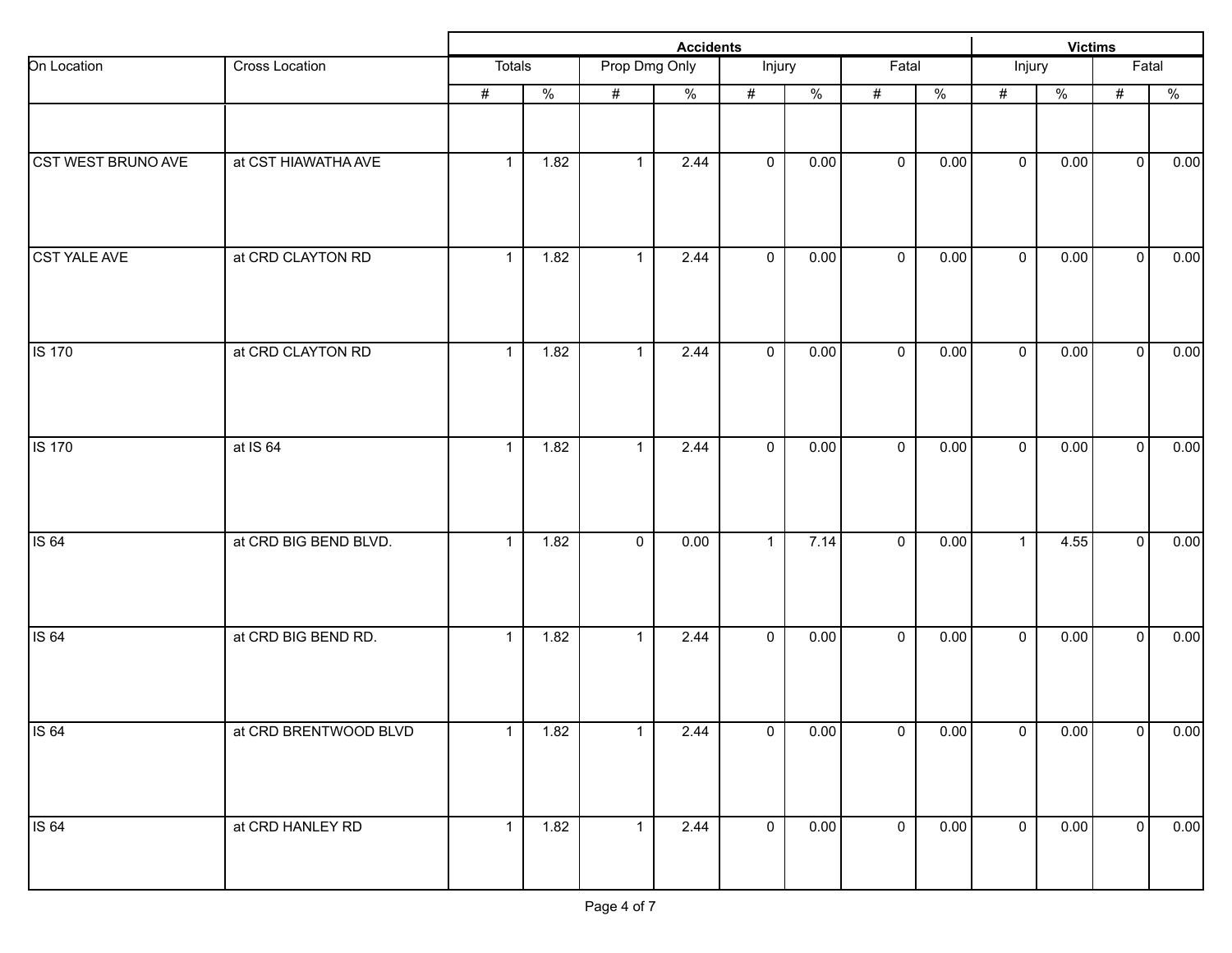|                           |                       |                | <b>Victims</b> |               |               |                |                          |                |               |                |               |                     |               |
|---------------------------|-----------------------|----------------|----------------|---------------|---------------|----------------|--------------------------|----------------|---------------|----------------|---------------|---------------------|---------------|
| On Location               | Cross Location        | Totals         |                | Prop Dmg Only |               | Injury         |                          | Fatal          |               | Injury         |               | Fatal               |               |
|                           |                       | #              | $\frac{0}{2}$  | #             | $\frac{9}{6}$ | #              | $\overline{\frac{9}{6}}$ | #              | $\frac{0}{2}$ | #              | $\frac{0}{2}$ | $\#$                | $\frac{0}{2}$ |
|                           |                       |                |                |               |               |                |                          |                |               |                |               |                     |               |
| <b>CST WEST BRUNO AVE</b> | at CST HIAWATHA AVE   | $\overline{1}$ | 1.82           | $\mathbf{1}$  | 2.44          | $\mathbf 0$    | 0.00                     | $\mathbf 0$    | 0.00          | $\mathbf 0$    | 0.00          | $\overline{0}$      | 0.00          |
| CST YALE AVE              | at CRD CLAYTON RD     | $\mathbf{1}$   | 1.82           | $\mathbf{1}$  | 2.44          | $\mathbf 0$    | 0.00                     | $\mathbf 0$    | 0.00          | $\mathbf{0}$   | 0.00          | $\mathsf{O}\xspace$ | 0.00          |
| <b>IS 170</b>             | at CRD CLAYTON RD     | $\mathbf{1}$   | 1.82           | $\mathbf 1$   | 2.44          | $\overline{0}$ | 0.00                     | $\mathbf 0$    | 0.00          | $\mathbf 0$    | 0.00          | $\overline{0}$      | 0.00          |
| IS 170                    | at IS 64              | $\mathbf{1}$   | 1.82           | 1             | 2.44          | $\mathbf 0$    | 0.00                     | $\mathbf 0$    | 0.00          | $\mathbf 0$    | 0.00          | $\overline{0}$      | 0.00          |
| <b>IS 64</b>              | at CRD BIG BEND BLVD. | $\mathbf{1}$   | 1.82           | $\mathbf 0$   | 0.00          | $\mathbf{1}$   | 7.14                     | $\mathbf 0$    | 0.00          | $\mathbf{1}$   | 4.55          | $\mathbf 0$         | 0.00          |
| <b>IS 64</b>              | at CRD BIG BEND RD.   | $\mathbf{1}$   | 1.82           | $\mathbf{1}$  | 2.44          | $\mathbf 0$    | 0.00                     | $\mathbf 0$    | 0.00          | $\mathbf 0$    | 0.00          | $\overline{0}$      | 0.00          |
| <b>IS 64</b>              | at CRD BRENTWOOD BLVD | 1              | $1.82$         | 1             | 2.44          | $\mathbf 0$    | 0.00                     | $\overline{0}$ | 0.00          | $\mathbf 0$    | 0.00          | 0                   | 0.00          |
| <b>IS 64</b>              | at CRD HANLEY RD      | $\overline{1}$ | 1.82           | $\mathbf{1}$  | 2.44          | $\overline{0}$ | 0.00                     | $\overline{0}$ | 0.00          | $\overline{0}$ | 0.00          | $\overline{0}$      | 0.00          |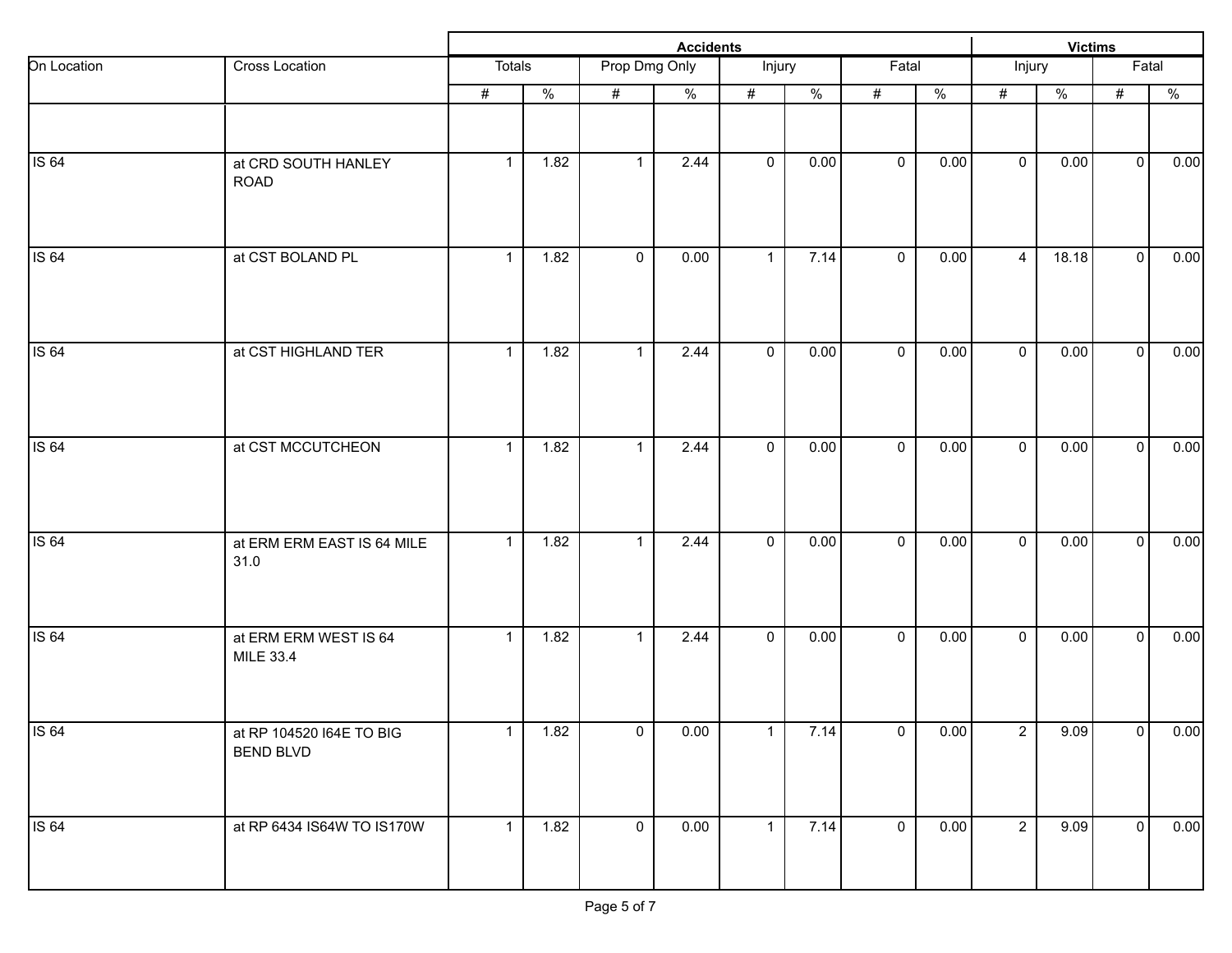|              |                                              |                |               |               | <b>Victims</b> |                |                          |              |               |                |               |                |               |
|--------------|----------------------------------------------|----------------|---------------|---------------|----------------|----------------|--------------------------|--------------|---------------|----------------|---------------|----------------|---------------|
| On Location  | Cross Location                               | Totals         |               | Prop Dmg Only |                | Injury         |                          | Fatal        |               | Injury         |               | Fatal          |               |
|              |                                              | #              | $\frac{0}{2}$ | #             | $\frac{0}{6}$  | #              | $\overline{\frac{9}{6}}$ | #            | $\frac{0}{2}$ | #              | $\frac{0}{2}$ | $\#$           | $\frac{0}{2}$ |
|              |                                              |                |               |               |                |                |                          |              |               |                |               |                |               |
| <b>IS 64</b> | at CRD SOUTH HANLEY<br><b>ROAD</b>           | $\mathbf{1}$   | 1.82          | $\mathbf{1}$  | 2.44           | $\mathbf 0$    | 0.00                     | $\mathbf 0$  | 0.00          | $\mathbf 0$    | 0.00          | $\overline{0}$ | 0.00          |
| <b>IS 64</b> | at CST BOLAND PL                             | $\mathbf{1}$   | 1.82          | $\mathbf 0$   | 0.00           | $\mathbf{1}$   | 7.14                     | $\mathbf 0$  | 0.00          | $\overline{4}$ | 18.18         | $\mathbf 0$    | 0.00          |
| <b>IS 64</b> | at CST HIGHLAND TER                          | $\mathbf{1}$   | 1.82          | $\mathbf 1$   | 2.44           | $\mathbf 0$    | 0.00                     | $\mathbf 0$  | 0.00          | $\mathbf{0}$   | 0.00          | $\mathbf 0$    | 0.00          |
| <b>IS 64</b> | at CST MCCUTCHEON                            | $\mathbf{1}$   | 1.82          | 1             | 2.44           | $\mathbf 0$    | 0.00                     | $\mathbf 0$  | 0.00          | $\mathbf 0$    | 0.00          | $\mathbf{0}$   | 0.00          |
| <b>IS 64</b> | at ERM ERM EAST IS 64 MILE<br>31.0           | $\mathbf{1}$   | 1.82          | $\mathbf{1}$  | 2.44           | $\mathbf 0$    | 0.00                     | $\mathbf 0$  | 0.00          | $\mathbf 0$    | 0.00          | $\mathbf 0$    | 0.00          |
| <b>IS 64</b> | at ERM ERM WEST IS 64<br>MILE 33.4           | $\mathbf{1}$   | 1.82          | $\mathbf{1}$  | 2.44           | $\mathbf 0$    | 0.00                     | $\mathbf{0}$ | 0.00          | $\mathbf 0$    | 0.00          | $\overline{0}$ | 0.00          |
| <b>IS 64</b> | at RP 104520 I64E TO BIG<br><b>BEND BLVD</b> | $\mathbf{1}$   | 1.82          | $\mathbf 0$   | 0.00           | $\overline{1}$ | 7.14                     | $\mathsf 0$  | 0.00          | $\overline{2}$ | 9.09          | 0              | 0.00          |
| <b>IS 64</b> | at RP 6434 IS64W TO IS170W                   | $\overline{1}$ | 1.82          | $\mathbf 0$   | 0.00           | $\mathbf{1}$   | 7.14                     | $\mathbf 0$  | 0.00          | $\overline{2}$ | 9.09          | $\overline{0}$ | 0.00          |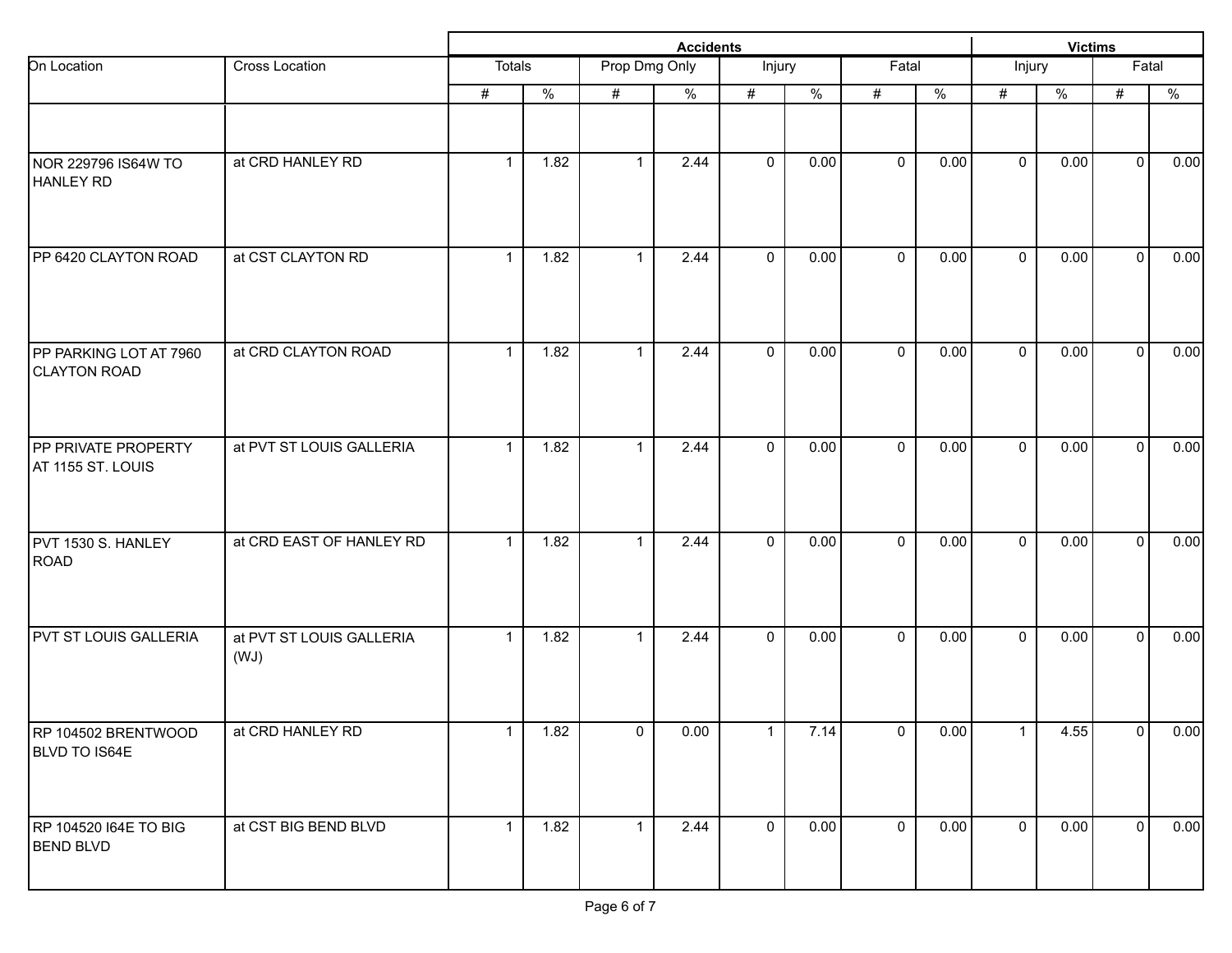|                                  |              |               |              | <b>Victims</b> |                                   |                  |             |               |               |      |                     |                                                                                                                                       |
|----------------------------------|--------------|---------------|--------------|----------------|-----------------------------------|------------------|-------------|---------------|---------------|------|---------------------|---------------------------------------------------------------------------------------------------------------------------------------|
| Cross Location                   |              |               |              |                |                                   |                  |             |               | Injury        |      | $\overline{F}$ atal |                                                                                                                                       |
|                                  | #            | $\frac{0}{6}$ | #            | $\%$           | #                                 | $\%$             | $\#$        | $\frac{9}{6}$ | #             | $\%$ | $\#$                | $\%$                                                                                                                                  |
| at CRD HANLEY RD                 | $\mathbf{1}$ | 1.82          | $\mathbf{1}$ | 2.44           | $\mathbf 0$                       | 0.00             | $\mathbf 0$ | 0.00          | $\mathbf 0$   | 0.00 |                     | 0.00                                                                                                                                  |
| at CST CLAYTON RD                | $\mathbf{1}$ | 1.82          | $\mathbf{1}$ | 2.44           | $\mathbf 0$                       | 0.00             | $\mathbf 0$ | 0.00          | $\mathbf{0}$  | 0.00 |                     | 0.00                                                                                                                                  |
| at CRD CLAYTON ROAD              | $\mathbf{1}$ | 1.82          | $\mathbf{1}$ | 2.44           | $\mathbf 0$                       | 0.00             | $\mathbf 0$ | 0.00          | $\mathbf 0$   | 0.00 |                     | 0.00                                                                                                                                  |
| at PVT ST LOUIS GALLERIA         | $\mathbf{1}$ | 1.82          | $\mathbf{1}$ | 2.44           | $\mathbf 0$                       | 0.00             | $\mathbf 0$ | 0.00          | $\mathbf 0$   | 0.00 |                     | 0.00                                                                                                                                  |
| at CRD EAST OF HANLEY RD         | $\mathbf{1}$ | 1.82          | $\mathbf{1}$ | 2.44           | $\mathbf 0$                       | 0.00             | $\mathbf 0$ | 0.00          | $\mathbf 0$   | 0.00 |                     | 0.00                                                                                                                                  |
| at PVT ST LOUIS GALLERIA<br>(WJ) | $\mathbf{1}$ | 1.82          | $\mathbf{1}$ | 2.44           | $\mathbf 0$                       | 0.00             | $\mathbf 0$ | 0.00          | $\mathbf 0$   | 0.00 |                     | 0.00                                                                                                                                  |
| at CRD HANLEY RD                 | $\mathbf{1}$ | 1.82          |              | 0.00           | $\mathbf{1}$                      |                  | 0           |               | $\mathbf{1}$  |      |                     | 0.00                                                                                                                                  |
| at CST BIG BEND BLVD             | $\mathbf{1}$ | 1.82          |              | 2.44           | $\mathbf 0$                       |                  | $\mathbf 0$ |               | $\mathbf 0$   |      |                     | 0.00                                                                                                                                  |
|                                  |              |               | Totals       |                | Prop Dmg Only<br>$\mathbf 0$<br>1 | <b>Accidents</b> | Injury      | 7.14<br>0.00  | Fatal<br>0.00 | 0.00 |                     | $\mathbf 0$<br>$\mathbf{0}$<br>$\mathbf{0}$<br>$\mathbf{0}$<br>$\mathbf{0}$<br>$\mathbf{0}$<br>4.55<br>$\overline{0}$<br>0.00<br>-o l |